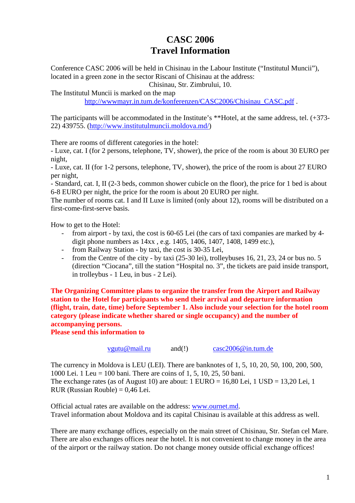## **CASC 2006 Travel Information**

Conference CASC 2006 will be held in Chisinau in the Labour Institute ("Institutul Muncii"), located in a green zone in the sector Riscani of Chisinau at the address:

Chisinau, Str. Zimbrului, 10.

The Institutul Muncii is marked on the map http://wwwmayr.in.tum.de/konferenzen/CASC2006/Chisinau\_CASC.pdf .

The participants will be accommodated in the Institute's \*\*Hotel, at the same address, tel. (+373-22) 439755. (http://www.institutulmuncii.moldova.md/)

There are rooms of different categories in the hotel:

- Luxe, cat. I (for 2 persons, telephone, TV, shower), the price of the room is about 30 EURO per night,

- Luxe, cat. II (for 1-2 persons, telephone, TV, shower), the price of the room is about 27 EURO per night,

- Standard, cat. I, II (2-3 beds, common shower cubicle on the floor), the price for 1 bed is about 6-8 EURO per night, the price for the room is about 20 EURO per night.

The number of rooms cat. I and II Luxe is limited (only about 12), rooms will be distributed on a first-come-first-serve basis.

How to get to the Hotel:

- from airport by taxi, the cost is 60-65 Lei (the cars of taxi companies are marked by 4 digit phone numbers as 14xx , e.g. 1405, 1406, 1407, 1408, 1499 etc.),
- from Railway Station by taxi, the cost is 30-35 Lei,
- from the Centre of the city by taxi (25-30 lei), trolleybuses 16, 21, 23, 24 or bus no. 5 (direction "Ciocana", till the station "Hospital no. 3", the tickets are paid inside transport, in trolleybus - 1 Leu, in bus - 2 Lei).

**The Organizing Committee plans to organize the transfer from the Airport and Railway station to the Hotel for participants who send their arrival and departure information (flight, train, date, time) before September 1. Also include your selection for the hotel room category (please indicate whether shared or single occupancy) and the number of accompanying persons.** 

**Please send this information to** 

vgutu@mail.ru and(!) casc2006@in.tum.de

The currency in Moldova is LEU (LEI). There are banknotes of 1, 5, 10, 20, 50, 100, 200, 500, 1000 Lei. 1 Leu = 100 bani. There are coins of 1, 5, 10, 25, 50 bani. The exchange rates (as of August 10) are about:  $1 \text{ EURO} = 16,80 \text{ Lei}, 1 \text{ USD} = 13,20 \text{ Lei}, 1$ RUR (Russian Rouble)  $= 0,46$  Lei.

Official actual rates are available on the address: www.ournet.md. Travel information about Moldova and its capital Chisinau is available at this address as well.

There are many exchange offices, especially on the main street of Chisinau, Str. Stefan cel Mare. There are also exchanges offices near the hotel. It is not convenient to change money in the area of the airport or the railway station. Do not change money outside official exchange offices!